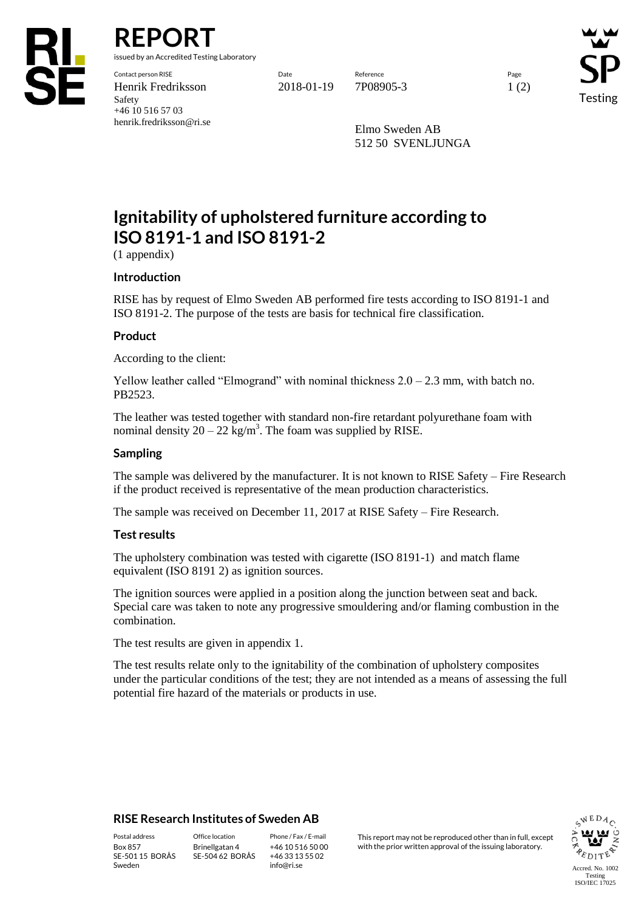

**REPORT**

issued by an Accredited Testing Laboratory

Contact person RISE Date Reference Page Henrik Fredriksson 2018-01-19 7P08905-3 1 (2) Safety +46 10 516 57 03 henrik.fredriksson@ri.se

Testing

Elmo Sweden AB 512 50 SVENLJUNGA

# **Ignitability of upholstered furniture according to ISO 8191-1 and ISO 8191-2**

(1 appendix)

## **Introduction**

RISE has by request of Elmo Sweden AB performed fire tests according to ISO 8191-1 and ISO 8191-2. The purpose of the tests are basis for technical fire classification.

## **Product**

According to the client:

Yellow leather called "Elmogrand" with nominal thickness  $2.0 - 2.3$  mm, with batch no. PB2523.

The leather was tested together with standard non-fire retardant polyurethane foam with nominal density  $20 - 22$  kg/m<sup>3</sup>. The foam was supplied by RISE.

### **Sampling**

The sample was delivered by the manufacturer. It is not known to RISE Safety – Fire Research if the product received is representative of the mean production characteristics.

The sample was received on December 11, 2017 at RISE Safety – Fire Research.

## **Test results**

The upholstery combination was tested with cigarette (ISO 8191-1) and match flame equivalent (ISO 8191 2) as ignition sources.

The ignition sources were applied in a position along the junction between seat and back. Special care was taken to note any progressive smouldering and/or flaming combustion in the combination.

The test results are given in appendix 1.

The test results relate only to the ignitability of the combination of upholstery composites under the particular conditions of the test; they are not intended as a means of assessing the full potential fire hazard of the materials or products in use.

## **RISE Research Institutes of Sweden AB**

SE-501 15 BORÅS Sweden

Brinellgatan 4 SE-504 62 BORÅS

+46 10 516 50 00 +46 33 13 55 02 info@ri.se

Postal address Office location Phone / Fax / E-mail This report may not be reproduced other than in full, except Box 857 Brinellgatan 4 +46 10 516 50 00 with the prior written approval of the issuing laboratory.

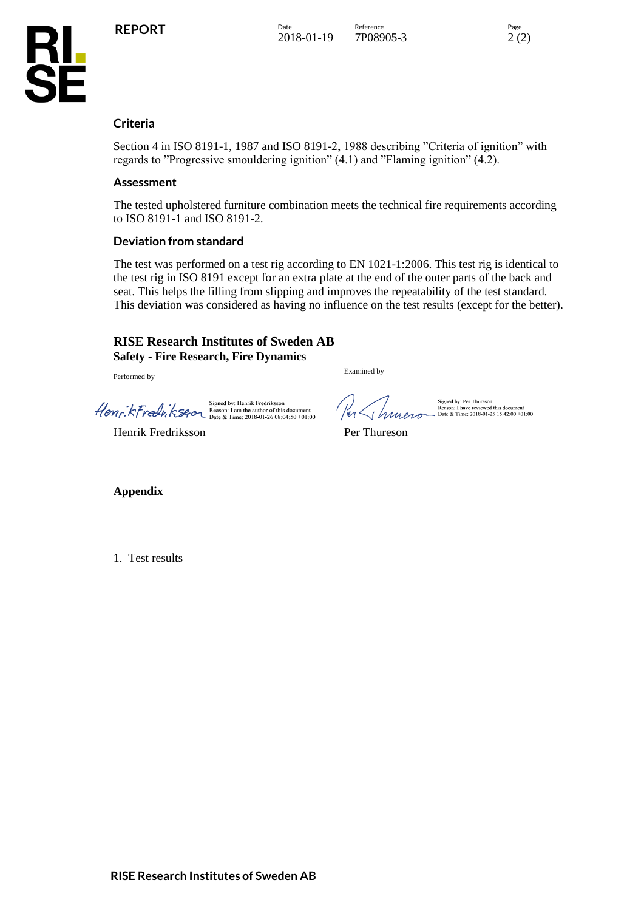

## **Criteria**

**KL<br>SE** 

Section 4 in ISO 8191-1, 1987 and ISO 8191-2, 1988 describing "Criteria of ignition" with regards to "Progressive smouldering ignition" (4.1) and "Flaming ignition" (4.2).

### **Assessment**

The tested upholstered furniture combination meets the technical fire requirements according to ISO 8191-1 and ISO 8191-2.

### **Deviation from standard**

The test was performed on a test rig according to EN 1021-1:2006. This test rig is identical to the test rig in ISO 8191 except for an extra plate at the end of the outer parts of the back and seat. This helps the filling from slipping and improves the repeatability of the test standard. This deviation was considered as having no influence on the test results (except for the better).

#### **RISE Research Institutes of Sweden AB Safety - Fire Research, Fire Dynamics**

Performed by

Signed by: Henrik Fredriksson<br>
Henry, KFredu, KS40 Beason: 1 am the author of this document<br>
Date & Time: 2018-01-26 08:04:50 +01:00

Henrik Fredriksson **Per Thureson** 

Examined by

er Libraro

Signed by: Per Thureson<br>Reason: I have reviewed this document<br>Date & Time: 2018-01-25 15:42:00 +01:00

**Appendix**

1. Test results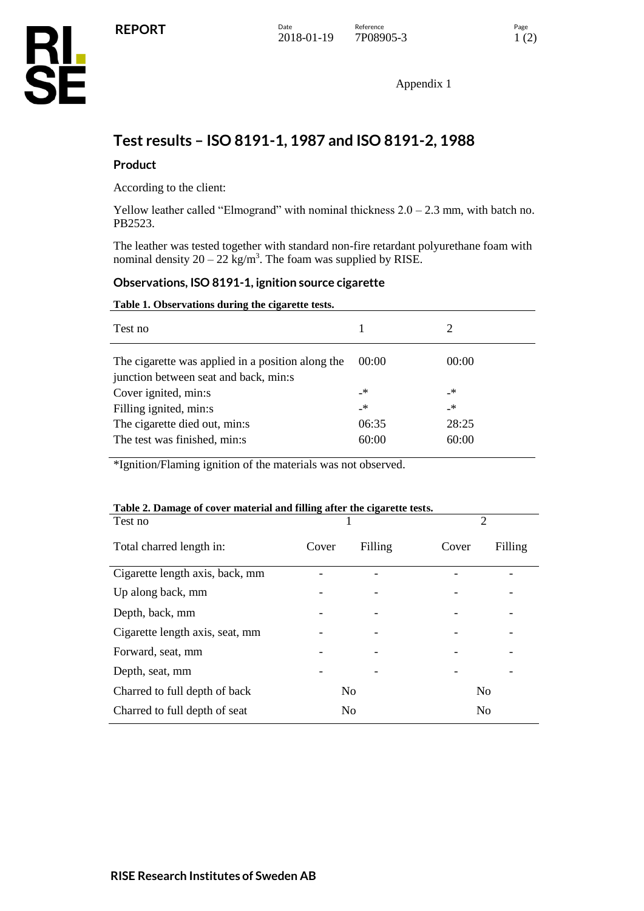

Appendix 1

## **Test results – ISO 8191-1, 1987 and ISO 8191-2, 1988**

## **Product**

According to the client:

Yellow leather called "Elmogrand" with nominal thickness  $2.0 - 2.3$  mm, with batch no. PB2523.

The leather was tested together with standard non-fire retardant polyurethane foam with nominal density  $20 - 22$  kg/m<sup>3</sup>. The foam was supplied by RISE.

### **Observations, ISO 8191-1, ignition source cigarette**

#### **Table 1. Observations during the cigarette tests.**

| 00:00 | 00:00 |
|-------|-------|
| _*    | _*    |
| _*    | _*    |
| 06:35 | 28:25 |
| 60:00 | 60:00 |
|       |       |

\*Ignition/Flaming ignition of the materials was not observed.

#### **Table 2. Damage of cover material and filling after the cigarette tests.**

| Test no                                         |                |         |
|-------------------------------------------------|----------------|---------|
| Filling<br>Total charred length in:<br>Cover    | Cover          | Filling |
| Cigarette length axis, back, mm                 |                |         |
| Up along back, mm                               |                |         |
| Depth, back, mm<br>-                            |                |         |
| Cigarette length axis, seat, mm                 |                |         |
| Forward, seat, mm                               |                |         |
| Depth, seat, mm                                 |                |         |
| Charred to full depth of back<br>N <sub>0</sub> | N <sub>0</sub> |         |
| Charred to full depth of seat<br>N <sub>0</sub> | N <sub>0</sub> |         |